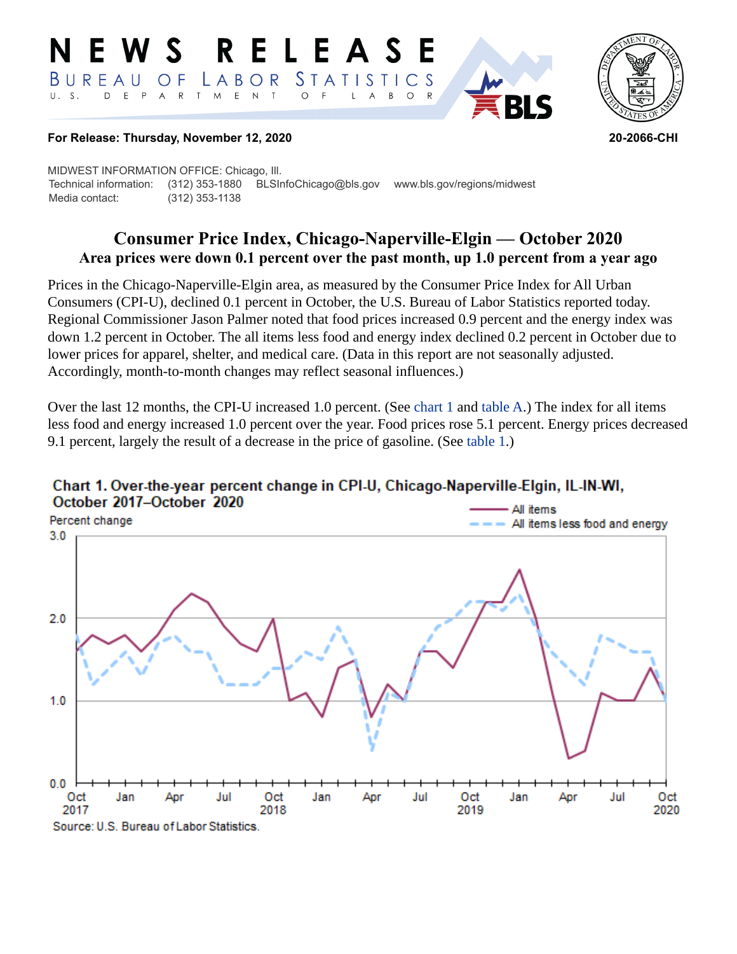#### RELEASE W S *STATISTICS* BUREAU LABOR  $\overline{O}$  F D E P A R T M E N  $\top$  $\circ$  $U. S.$  $\overline{A}$ B  $\circ$ L



#### **For Release: Thursday, November 12, 2020 20-2066-CHI**

MIDWEST INFORMATION OFFICE: Chicago, Ill. Technical information: (312) 353-1880 BLSInfoChicago@bls.gov www.bls.gov/regions/midwest Media contact: (312) 353-1138

# **Consumer Price Index, Chicago-Naperville-Elgin — October 2020 Area prices were down 0.1 percent over the past month, up 1.0 percent from a year ago**

Prices in the Chicago-Naperville-Elgin area, as measured by the Consumer Price Index for All Urban Consumers (CPI-U), declined 0.1 percent in October, the U.S. Bureau of Labor Statistics reported today. Regional Commissioner Jason Palmer noted that food prices increased 0.9 percent and the energy index was down 1.2 percent in October. The all items less food and energy index declined 0.2 percent in October due to lower prices for apparel, shelter, and medical care. (Data in this report are not seasonally adjusted. Accordingly, month-to-month changes may reflect seasonal influences.)

Over the last 12 months, the CPI-U increased 1.0 percent. (See [chart 1](#page-0-0) and [table A.](#page-1-0)) The index for all items less food and energy increased 1.0 percent over the year. Food prices rose 5.1 percent. Energy prices decreased 9.1 percent, largely the result of a decrease in the price of gasoline. (See [table 1](#page-4-0).)



### <span id="page-0-0"></span>Chart 1. Over-the-year percent change in CPI-U, Chicago-Naperville-Elgin, IL-IN-WI, October 2017-October 2020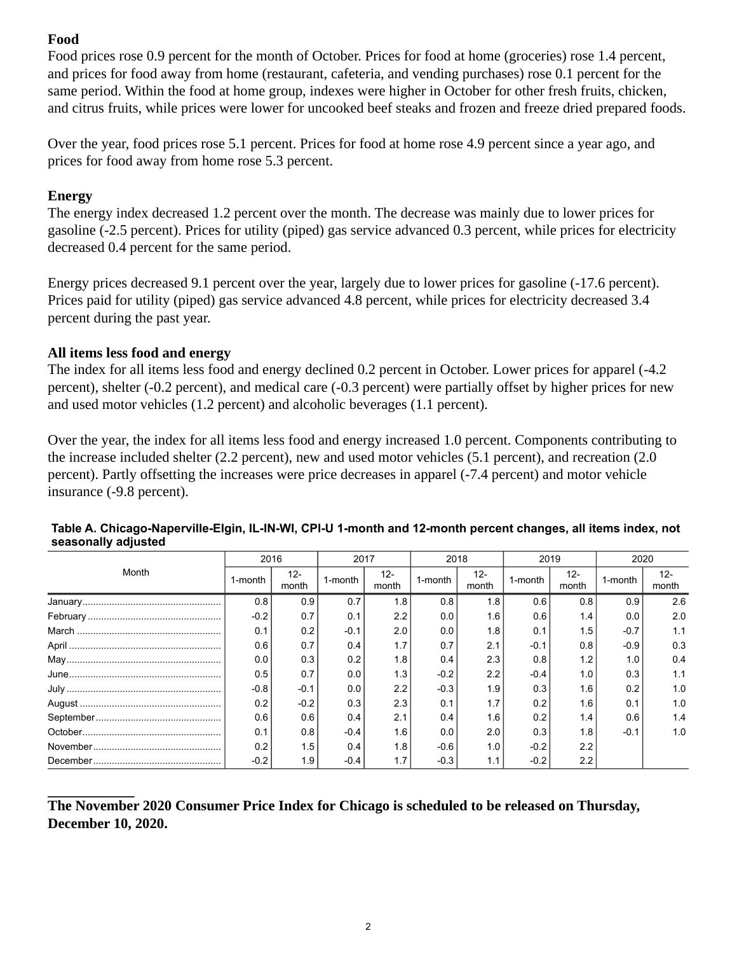## **Food**

Food prices rose 0.9 percent for the month of October. Prices for food at home (groceries) rose 1.4 percent, and prices for food away from home (restaurant, cafeteria, and vending purchases) rose 0.1 percent for the same period. Within the food at home group, indexes were higher in October for other fresh fruits, chicken, and citrus fruits, while prices were lower for uncooked beef steaks and frozen and freeze dried prepared foods.

Over the year, food prices rose 5.1 percent. Prices for food at home rose 4.9 percent since a year ago, and prices for food away from home rose 5.3 percent.

## **Energy**

The energy index decreased 1.2 percent over the month. The decrease was mainly due to lower prices for gasoline (-2.5 percent). Prices for utility (piped) gas service advanced 0.3 percent, while prices for electricity decreased 0.4 percent for the same period.

Energy prices decreased 9.1 percent over the year, largely due to lower prices for gasoline (-17.6 percent). Prices paid for utility (piped) gas service advanced 4.8 percent, while prices for electricity decreased 3.4 percent during the past year.

## **All items less food and energy**

The index for all items less food and energy declined 0.2 percent in October. Lower prices for apparel (-4.2 percent), shelter (-0.2 percent), and medical care (-0.3 percent) were partially offset by higher prices for new and used motor vehicles (1.2 percent) and alcoholic beverages (1.1 percent).

Over the year, the index for all items less food and energy increased 1.0 percent. Components contributing to the increase included shelter (2.2 percent), new and used motor vehicles (5.1 percent), and recreation (2.0 percent). Partly offsetting the increases were price decreases in apparel (-7.4 percent) and motor vehicle insurance (-9.8 percent).

| Month | 2016    |                 | 2017    |                 | 2018    |                 | 2019    |                 | 2020    |                 |
|-------|---------|-----------------|---------|-----------------|---------|-----------------|---------|-----------------|---------|-----------------|
|       | 1-month | $12 -$<br>month | 1-month | $12 -$<br>month | 1-month | $12 -$<br>month | 1-month | $12 -$<br>month | 1-month | $12 -$<br>month |
|       | 0.8     | 0.9             | 0.7     | 1.8             | 0.8     | 1.8             | 0.6     | 0.8             | 0.9     | 2.6             |
|       | $-0.2$  | 0.7             | 0.1     | 2.2             | 0.0     | 1.6             | 0.6     | 1.4             | 0.0     | 2.0             |
|       | 0.1     | 0.2             | $-0.1$  | 2.0             | 0.0     | 1.8             | 0.1     | 1.5             | $-0.7$  | 1.1             |
|       | 0.6     | 0.7             | 0.4     | 1.7             | 0.7     | 2.1             | $-0.1$  | 0.8             | $-0.9$  | 0.3             |
|       | 0.0     | 0.3             | 0.2     | 1.8             | 0.4     | 2.3             | 0.8     | 1.2             | 1.0     | 0.4             |
|       | 0.5     | 0.7             | 0.0     | 1.3             | $-0.2$  | 2.2             | $-0.4$  | 1.0             | 0.3     | 1.1             |
|       | $-0.8$  | $-0.1$          | 0.0     | 2.2             | $-0.3$  | 1.9             | 0.3     | 1.6             | 0.2     | 1.0             |
|       | 0.2     | $-0.2$          | 0.3     | 2.3             | 0.1     | 1.7             | 0.2     | 1.6             | 0.1     | 1.0             |
|       | 0.6     | 0.6             | 0.4     | 2.1             | 0.4     | 1.6             | 0.2     | 1.4             | 0.6     | 1.4             |
|       | 0.1     | 0.8             | $-0.4$  | 1.6             | 0.0     | 2.0             | 0.3     | 1.8             | $-0.1$  | 1.0             |
|       | 0.2     | 1.5             | 0.4     | 1.8             | $-0.6$  | 1.0             | $-0.2$  | 2.2             |         |                 |
|       | $-0.2$  | 1.9             | $-0.4$  | 1.7             | $-0.3$  | 1.1             | $-0.2$  | 2.2             |         |                 |

### <span id="page-1-0"></span>**Table A. Chicago-Naperville-Elgin, IL-IN-WI, CPI-U 1-month and 12-month percent changes, all items index, not seasonally adjusted**

**The November 2020 Consumer Price Index for Chicago is scheduled to be released on Thursday, December 10, 2020.**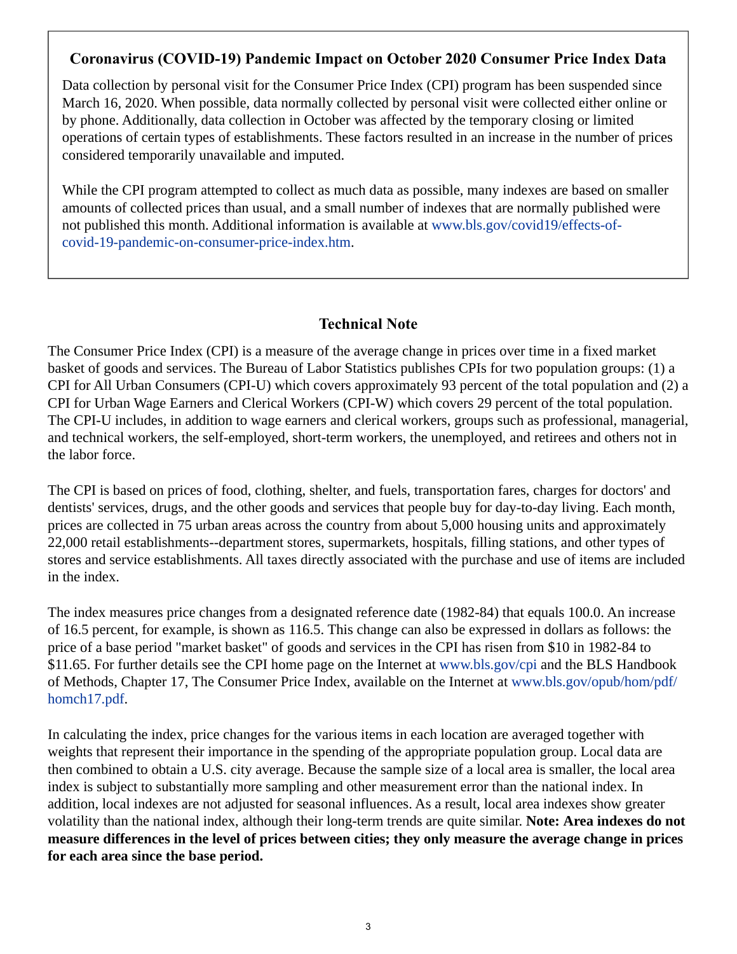## **Coronavirus (COVID-19) Pandemic Impact on October 2020 Consumer Price Index Data**

Data collection by personal visit for the Consumer Price Index (CPI) program has been suspended since March 16, 2020. When possible, data normally collected by personal visit were collected either online or by phone. Additionally, data collection in October was affected by the temporary closing or limited operations of certain types of establishments. These factors resulted in an increase in the number of prices considered temporarily unavailable and imputed.

While the CPI program attempted to collect as much data as possible, many indexes are based on smaller amounts of collected prices than usual, and a small number of indexes that are normally published were not published this month. Additional information is available at [www.bls.gov/covid19/effects-of](https://www.bls.gov/covid19/effects-of-covid-19-pandemic-on-consumer-price-index.htm)[covid-19-pandemic-on-consumer-price-index.htm](https://www.bls.gov/covid19/effects-of-covid-19-pandemic-on-consumer-price-index.htm).

## **Technical Note**

The Consumer Price Index (CPI) is a measure of the average change in prices over time in a fixed market basket of goods and services. The Bureau of Labor Statistics publishes CPIs for two population groups: (1) a CPI for All Urban Consumers (CPI-U) which covers approximately 93 percent of the total population and (2) a CPI for Urban Wage Earners and Clerical Workers (CPI-W) which covers 29 percent of the total population. The CPI-U includes, in addition to wage earners and clerical workers, groups such as professional, managerial, and technical workers, the self-employed, short-term workers, the unemployed, and retirees and others not in the labor force.

The CPI is based on prices of food, clothing, shelter, and fuels, transportation fares, charges for doctors' and dentists' services, drugs, and the other goods and services that people buy for day-to-day living. Each month, prices are collected in 75 urban areas across the country from about 5,000 housing units and approximately 22,000 retail establishments--department stores, supermarkets, hospitals, filling stations, and other types of stores and service establishments. All taxes directly associated with the purchase and use of items are included in the index.

The index measures price changes from a designated reference date (1982-84) that equals 100.0. An increase of 16.5 percent, for example, is shown as 116.5. This change can also be expressed in dollars as follows: the price of a base period "market basket" of goods and services in the CPI has risen from \$10 in 1982-84 to \$11.65. For further details see the CPI home page on the Internet at [www.bls.gov/cpi](https://www.bls.gov/cpi) and the BLS Handbook of Methods, Chapter 17, The Consumer Price Index, available on the Internet at [www.bls.gov/opub/hom/pdf/](https://www.bls.gov/opub/hom/pdf/homch17.pdf) [homch17.pdf](https://www.bls.gov/opub/hom/pdf/homch17.pdf).

In calculating the index, price changes for the various items in each location are averaged together with weights that represent their importance in the spending of the appropriate population group. Local data are then combined to obtain a U.S. city average. Because the sample size of a local area is smaller, the local area index is subject to substantially more sampling and other measurement error than the national index. In addition, local indexes are not adjusted for seasonal influences. As a result, local area indexes show greater volatility than the national index, although their long-term trends are quite similar. **Note: Area indexes do not measure differences in the level of prices between cities; they only measure the average change in prices for each area since the base period.**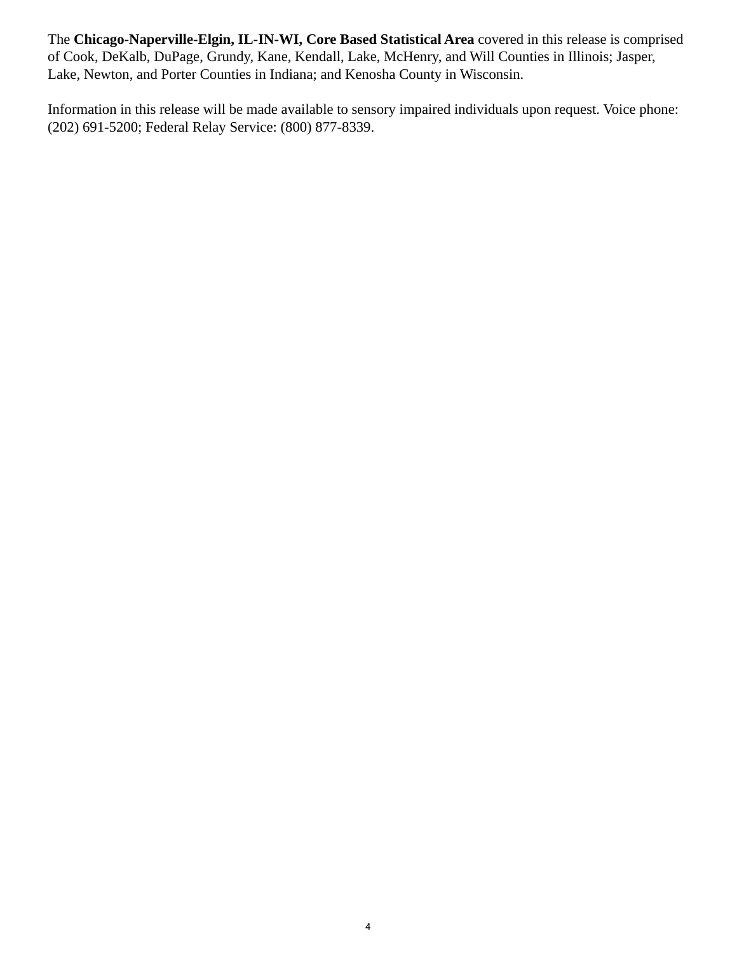The **Chicago-Naperville-Elgin, IL-IN-WI, Core Based Statistical Area** covered in this release is comprised of Cook, DeKalb, DuPage, Grundy, Kane, Kendall, Lake, McHenry, and Will Counties in Illinois; Jasper, Lake, Newton, and Porter Counties in Indiana; and Kenosha County in Wisconsin.

Information in this release will be made available to sensory impaired individuals upon request. Voice phone: (202) 691-5200; Federal Relay Service: (800) 877-8339.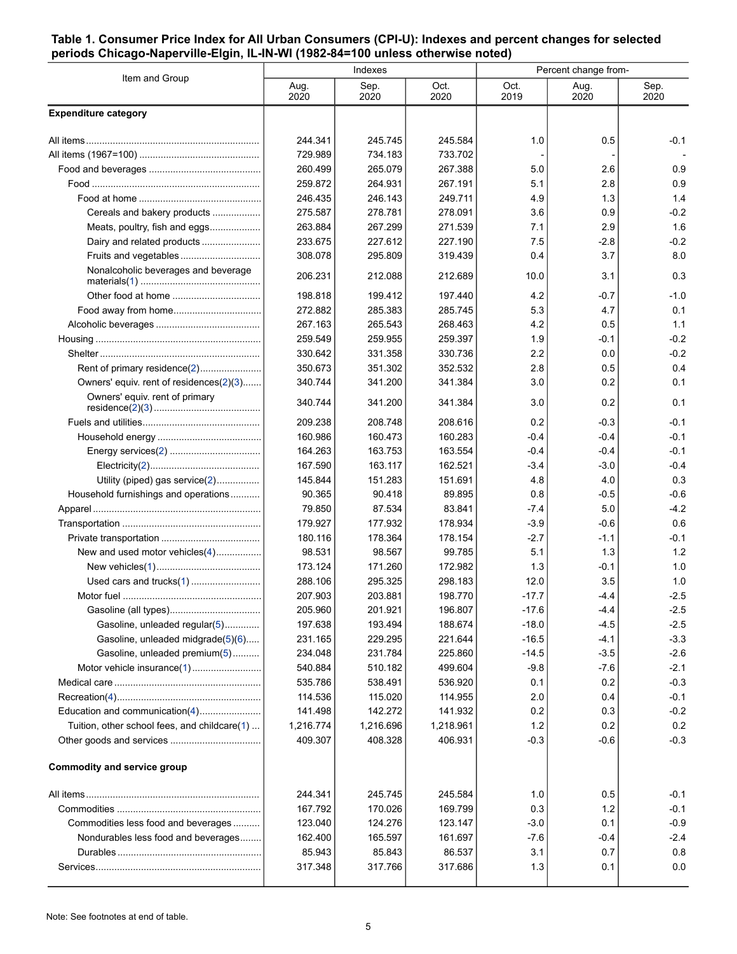#### <span id="page-4-0"></span>**Table 1. Consumer Price Index for All Urban Consumers (CPI-U): Indexes and percent changes for selected periods Chicago-Naperville-Elgin, IL-IN-WI (1982-84=100 unless otherwise noted)**

| Item and Group                                                     |                    | Indexes            |                    | Percent change from- |                  |                  |  |
|--------------------------------------------------------------------|--------------------|--------------------|--------------------|----------------------|------------------|------------------|--|
|                                                                    | Aug.<br>2020       | Sep.<br>2020       | Oct.<br>2020       | Oct.<br>2019         | Aug.<br>2020     | Sep.<br>2020     |  |
| <b>Expenditure category</b>                                        |                    |                    |                    |                      |                  |                  |  |
|                                                                    | 244.341            | 245.745            | 245.584            | 1.0                  | 0.5              | $-0.1$           |  |
|                                                                    | 729.989            | 734.183            | 733.702            |                      |                  |                  |  |
|                                                                    | 260.499            | 265.079            | 267.388            | 5.0                  | 2.6              | 0.9              |  |
|                                                                    | 259.872            | 264.931            | 267.191            | 5.1                  | 2.8              | 0.9              |  |
|                                                                    | 246.435            | 246.143            | 249.711            | 4.9                  | 1.3              | 1.4              |  |
| Cereals and bakery products                                        | 275.587            | 278.781            | 278.091            | 3.6                  | 0.9              | $-0.2$           |  |
| Meats, poultry, fish and eggs                                      | 263.884            | 267.299            | 271.539            | 7.1                  | 2.9              | 1.6              |  |
| Dairy and related products                                         | 233.675            | 227.612            | 227.190            | 7.5                  | $-2.8$           | $-0.2$           |  |
| Fruits and vegetables                                              | 308.078            | 295.809            | 319.439            | 0.4                  | 3.7              | 8.0              |  |
| Nonalcoholic beverages and beverage                                | 206.231            | 212.088            | 212.689            | 10.0                 | 3.1              | 0.3              |  |
|                                                                    | 198.818            | 199.412            | 197.440            | 4.2                  | $-0.7$           | $-1.0$           |  |
|                                                                    | 272.882            | 285.383            | 285.745            | 5.3                  | 4.7              | 0.1              |  |
|                                                                    | 267.163            | 265.543            | 268.463            | 4.2                  | 0.5              | 1.1              |  |
|                                                                    | 259.549            | 259.955            | 259.397            | 1.9                  | $-0.1$           | $-0.2$           |  |
|                                                                    | 330.642            | 331.358            | 330.736            | 2.2                  | 0.0              | $-0.2$           |  |
| Rent of primary residence(2)                                       | 350.673            | 351.302            | 352.532            | 2.8                  | 0.5              | 0.4              |  |
| Owners' equiv. rent of residences(2)(3)                            | 340.744            | 341.200            | 341.384            | 3.0                  | 0.2              | 0.1              |  |
| Owners' equiv. rent of primary                                     | 340.744            | 341.200            | 341.384            | 3.0                  | 0.2              | 0.1              |  |
|                                                                    | 209.238            | 208.748            | 208.616            | 0.2                  | $-0.3$           | $-0.1$           |  |
|                                                                    | 160.986            | 160.473            | 160.283            | $-0.4$               | $-0.4$           | $-0.1$           |  |
|                                                                    | 164.263            | 163.753            | 163.554            | $-0.4$               | $-0.4$           | $-0.1$           |  |
|                                                                    | 167.590            | 163.117            | 162.521            | $-3.4$               | $-3.0$           | $-0.4$           |  |
| Utility (piped) gas service(2)                                     | 145.844            | 151.283            | 151.691            | 4.8                  | 4.0              | 0.3              |  |
| Household furnishings and operations                               | 90.365             | 90.418             | 89.895             | 0.8                  | $-0.5$           | $-0.6$           |  |
|                                                                    | 79.850             | 87.534             | 83.841             | $-7.4$               | 5.0              | $-4.2$           |  |
|                                                                    | 179.927            | 177.932            | 178.934            | $-3.9$               | $-0.6$           | 0.6              |  |
|                                                                    | 180.116            | 178.364            | 178.154            | $-2.7$               | $-1.1$           | $-0.1$           |  |
| New and used motor vehicles(4)                                     | 98.531             | 98.567             | 99.785             | 5.1                  | 1.3              | 1.2              |  |
|                                                                    | 173.124            | 171.260            | 172.982            | 1.3                  | -0.1             | 1.0              |  |
|                                                                    | 288.106            | 295.325            | 298.183            | 12.0                 | 3.5              | 1.0              |  |
|                                                                    | 207.903            | 203.881            | 198.770            | $-17.7$              | -4.4             | $-2.5$           |  |
|                                                                    | 205.960            | 201.921            | 196.807            | $-17.6$              | $-4.4$           | $-2.5$           |  |
| Gasoline, unleaded regular(5)                                      | 197.638<br>231.165 | 193.494            | 188.674            | $-18.0$<br>$-16.5$   | $-4.5$           | $-2.5$<br>$-3.3$ |  |
| Gasoline, unleaded midgrade(5)(6)<br>Gasoline, unleaded premium(5) | 234.048            | 229.295<br>231.784 | 221.644<br>225.860 | $-14.5$              | $-4.1$<br>$-3.5$ | $-2.6$           |  |
|                                                                    | 540.884            | 510.182            | 499.604            | $-9.8$               | $-76$            | $-2.1$           |  |
|                                                                    | 535.786            | 538.491            | 536.920            | 0.1                  | 0.2              | $-0.3$           |  |
|                                                                    | 114.536            | 115.020            | 114.955            | 2.0                  | 0.4              | $-0.1$           |  |
| Education and communication(4)                                     | 141.498            | 142.272            | 141.932            | 0.2                  | 0.3              | $-0.2$           |  |
| Tuition, other school fees, and childcare(1)                       | 1,216.774          | 1,216.696          | 1,218.961          | 1.2                  | 0.2              | 0.2              |  |
|                                                                    | 409.307            | 408.328            | 406.931            | $-0.3$               | $-0.6$           | $-0.3$           |  |
| <b>Commodity and service group</b>                                 |                    |                    |                    |                      |                  |                  |  |
|                                                                    |                    |                    |                    |                      |                  |                  |  |
|                                                                    | 244.341            | 245.745            | 245.584            | 1.0                  | 0.5              | $-0.1$           |  |
|                                                                    | 167.792            | 170.026            | 169.799            | 0.3                  | $1.2$            | $-0.1$           |  |
| Commodities less food and beverages                                | 123.040            | 124.276            | 123.147            | $-3.0$               | 0.1              | $-0.9$           |  |
| Nondurables less food and beverages                                | 162.400            | 165.597            | 161.697            | $-7.6$               | $-0.4$           | $-2.4$           |  |
|                                                                    | 85.943             | 85.843             | 86.537             | 3.1                  | 0.7              | 0.8              |  |
|                                                                    | 317.348            | 317.766            | 317.686            | 1.3                  | 0.1              | 0.0              |  |